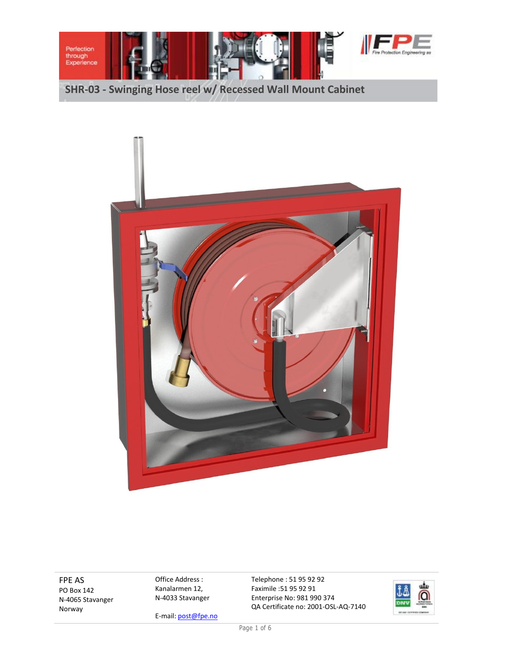



FPE AS PO Box 142 N-4065 Stavanger Norway

Office Address : Kanalarmen 12, N-4033 Stavanger

Enterprise No: 981 990 374 QA Certificate no: 2001-OSL-AQ-7140

Telephone : 51 95 92 92 Faximile :51 95 92 91



E-mail: post@fpe.no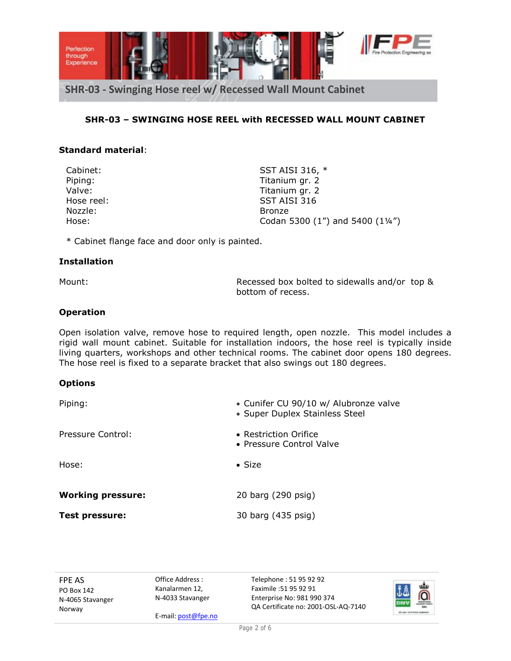

## **SHR-03 – SWINGING HOSE REEL with RECESSED WALL MOUNT CABINET**

### **Standard material**:

Nozzle: Bronze

Cabinet: SST AISI 316, \* Piping: Titanium gr. 2 Valve: Valve: Titanium gr. 2 Hose reel: SST AISI 316 Hose: Codan 5300 (1") and 5400 (1¼")

\* Cabinet flange face and door only is painted.

#### **Installation**

Mount: Recessed box bolted to sidewalls and/or top & bottom of recess.

#### **Operation**

Open isolation valve, remove hose to required length, open nozzle. This model includes a rigid wall mount cabinet. Suitable for installation indoors, the hose reel is typically inside living quarters, workshops and other technical rooms. The cabinet door opens 180 degrees. The hose reel is fixed to a separate bracket that also swings out 180 degrees.

#### **Options**

| Piping:                  | • Cunifer CU 90/10 w/ Alubronze valve<br>• Super Duplex Stainless Steel |
|--------------------------|-------------------------------------------------------------------------|
| Pressure Control:        | • Restriction Orifice<br>• Pressure Control Valve                       |
| Hose:                    | $\bullet$ Size                                                          |
| <b>Working pressure:</b> | 20 barg (290 psig)                                                      |
| <b>Test pressure:</b>    | 30 barg (435 psig)                                                      |

FPE AS PO Box 142 N-4065 Stavanger Norway

Office Address : Kanalarmen 12, N-4033 Stavanger

E-mail: post@fpe.no

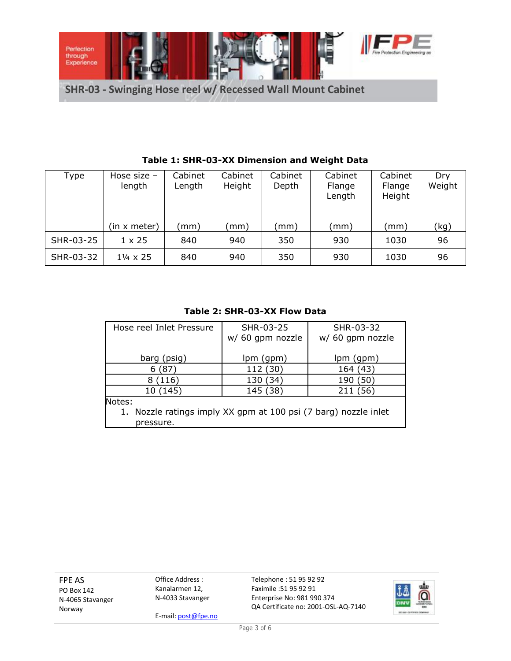

| Type      | Hose size -<br>length    | Cabinet<br>Length | Cabinet<br>Height | Cabinet<br>Depth | Cabinet<br>Flange<br>Length | Cabinet<br>Flange<br>Height | Dry<br>Weight |
|-----------|--------------------------|-------------------|-------------------|------------------|-----------------------------|-----------------------------|---------------|
|           | (in x meter)             | (mm)              | mm)               | (mm)             | (mm)                        | (mm)                        | (kg)          |
| SHR-03-25 | $1 \times 25$            | 840               | 940               | 350              | 930                         | 1030                        | 96            |
| SHR-03-32 | $1\frac{1}{4} \times 25$ | 840               | 940               | 350              | 930                         | 1030                        | 96            |

# **Table 1: SHR-03-XX Dimension and Weight Data**

#### **Table 2: SHR-03-XX Flow Data**

| Hose reel Inlet Pressure                                        | SHR-03-25        | SHR-03-32        |  |  |  |  |
|-----------------------------------------------------------------|------------------|------------------|--|--|--|--|
|                                                                 | w/ 60 gpm nozzle | w/ 60 gpm nozzle |  |  |  |  |
|                                                                 |                  |                  |  |  |  |  |
| barg (psig)                                                     | lpm (gpm)        | lpm (gpm)        |  |  |  |  |
| (87)<br>6                                                       | 112 (30)         | 164 (43)         |  |  |  |  |
| (116)                                                           | 130 (34)         | (50)<br>190      |  |  |  |  |
| 10 (145)                                                        | 145 (38)         | 211 (56)         |  |  |  |  |
| Notes:                                                          |                  |                  |  |  |  |  |
| 1. Nozzle ratings imply XX gpm at 100 psi (7 barg) nozzle inlet |                  |                  |  |  |  |  |
| pressure.                                                       |                  |                  |  |  |  |  |

FPE AS PO Box 142 N-4065 Stavanger Norway

Office Address : Kanalarmen 12, N-4033 Stavanger

E-mail: post@fpe.no

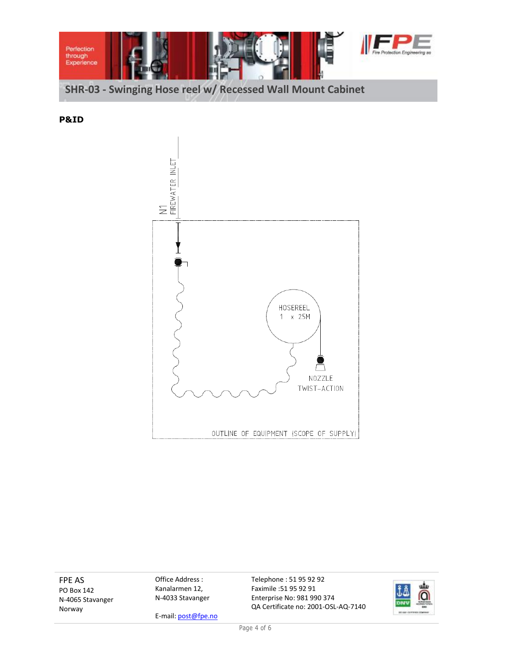

**P&ID**



FPE AS PO Box 142 N-4065 Stavanger Norway

Office Address : Kanalarmen 12, N-4033 Stavanger

E-mail: post@fpe.no

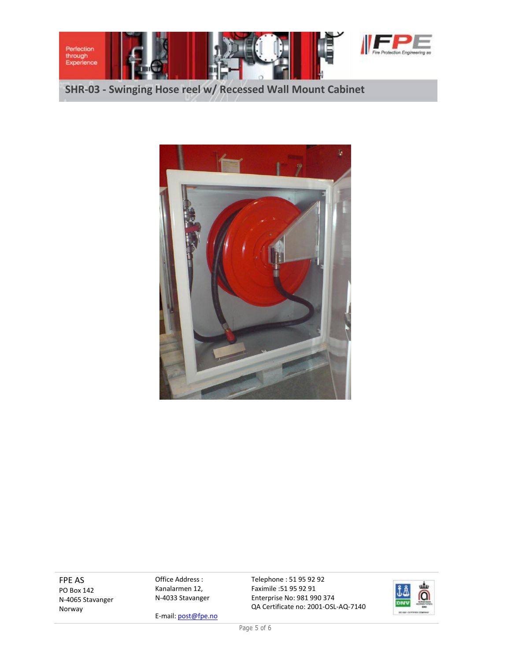



FPE AS PO Box 142 N-4065 Stavanger Norway

Office Address : Kanalarmen 12, N-4033 Stavanger

E-mail: post@fpe.no